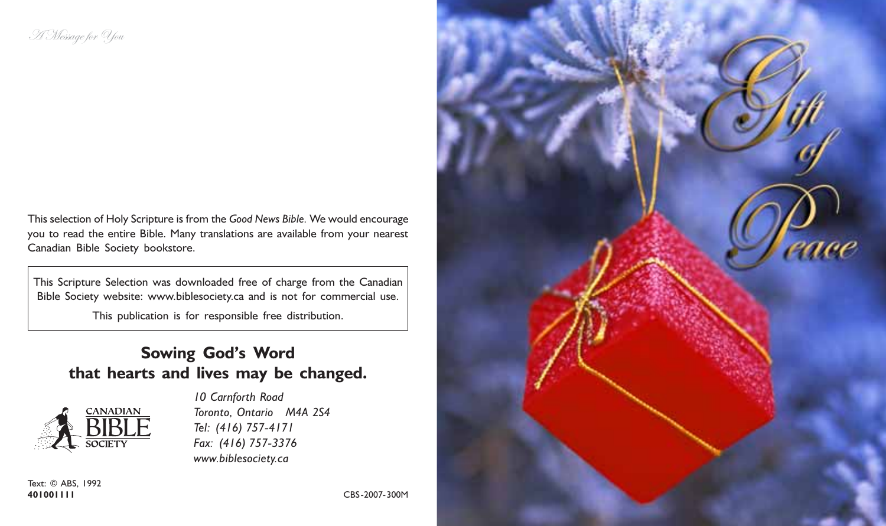This selection of Holy Scripture is from the Good News Bible. We would encourage you to read the entire Bible. Many translations are available from your nearest Canadian Bible Society bookstore.

This Scripture Selection was downloaded free of charge from the Canadian Bible Society website: www.biblesociety.ca and is not for commercial use.

This publication is for responsible free distribution.

## Sowing God's Word that hearts and lives may be changed.



10 Carnforth Road Toronto, Ontario M4A 2S4 Tel: (416) 757-4171 Fax: (416) 757-3376 www.biblesociety.ca

Text: © ABS, 1992 401001111 CBS-2007-300M